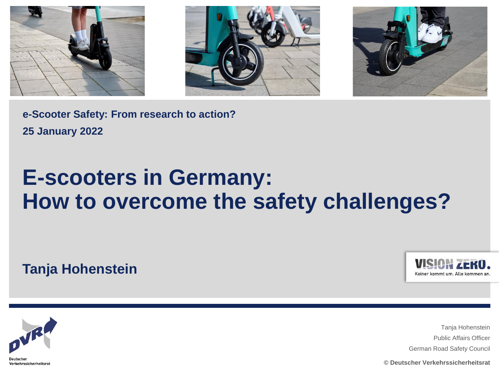





**e-Scooter Safety: From research to action? 25 January 2022**

# **E-scooters in Germany: How to overcome the safety challenges?**

**Tanja Hohenstein**





Tanja Hohenstein Public Affairs Officer German Road Safety Council

**© Deutscher Verkehrssicherheitsrat**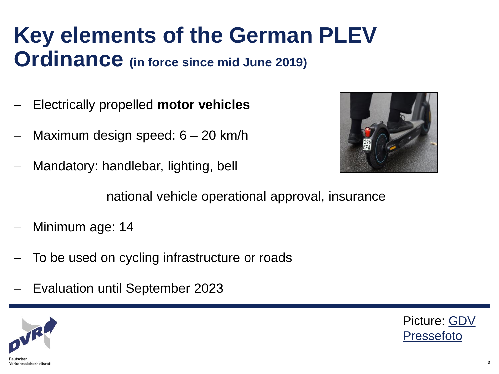# **Key elements of the German PLEV Ordinance (in force since mid June 2019)**

- Electrically propelled **motor vehicles**
- Maximum design speed: 6 20 km/h
- Mandatory: handlebar, lighting, bell



national vehicle operational approval, insurance

- Minimum age: 14
- To be used on cycling infrastructure or roads
- Evaluation until September 2023



[Picture: GDV](https://www.gdv.de/resource/blob/56782/6f2b97cbde23b835004cf2fc757e67e3/e-scooter-medienfoto-2020-2-download-data.jpg) Pressefoto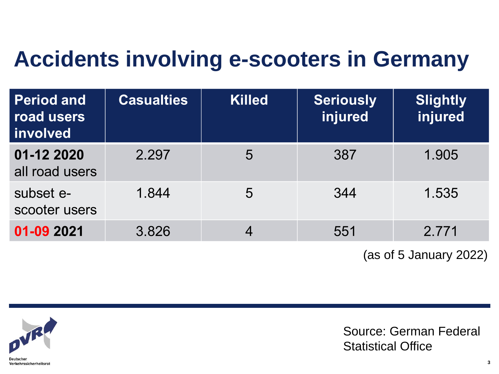# **Accidents involving e-scooters in Germany**

| <b>Period and</b><br>road users<br>involved | <b>Casualties</b> | <b>Killed</b> | <b>Seriously</b><br>injured | <b>Slightly</b><br>injured |
|---------------------------------------------|-------------------|---------------|-----------------------------|----------------------------|
| 01-12 2020<br>all road users                | 2.297             | 5             | 387                         | 1.905                      |
| subset e-<br>scooter users                  | 1.844             | 5             | 344                         | 1.535                      |
| 01-09 2021                                  | 3.826             |               | 551                         | 2.771                      |

(as of 5 January 2022)



Source: German Federal Statistical Office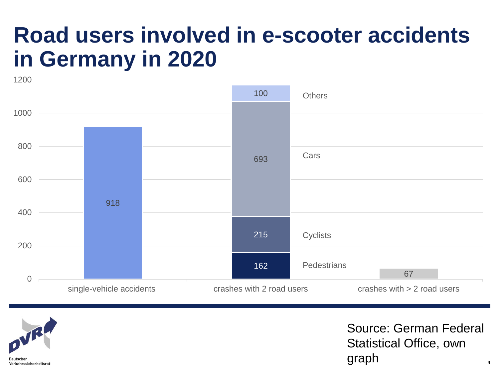# **Road users involved in e-scooter accidents in Germany in 2020**





Source: German Federal Statistical Office, own graph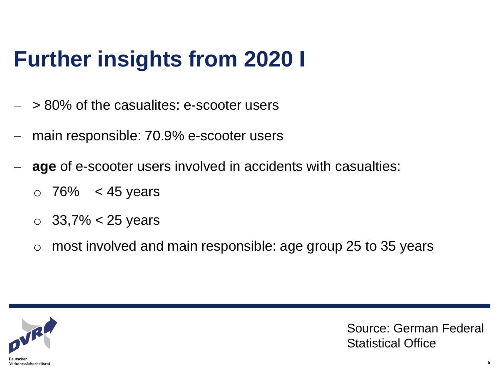# **Further insights from 2020 I**

- > 80% of the casualites: e-scooter users
- main responsible: 70.9% e-scooter users
- **age** of e-scooter users involved in accidents with casualties:
	- $\circ$  76% < 45 years
	- $\circ$  33,7% < 25 years
	- $\circ$  most involved and main responsible: age group 25 to 35 years



Source: German Federal Statistical Office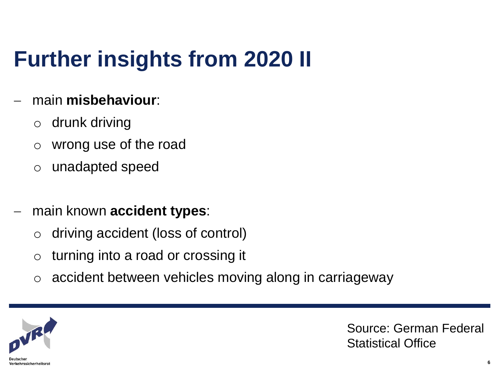# **Further insights from 2020 II**

## main **misbehaviour**:

- o drunk driving
- o wrong use of the road
- o unadapted speed
- main known **accident types**:
	- o driving accident (loss of control)
	- o turning into a road or crossing it
	- o accident between vehicles moving along in carriageway



Source: German Federal Statistical Office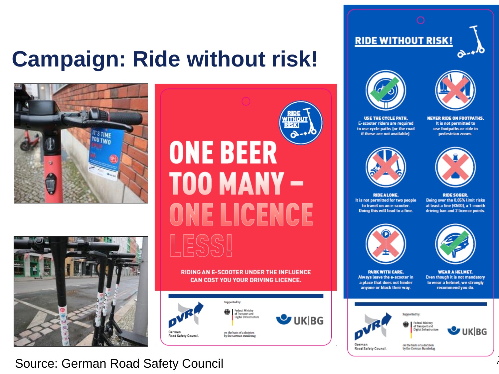# **Campaign: Ride without risk!**





# ITHOU **SK ONE BEER TOO MANY-**ONE LICENCE

#### **RIDING AN E-SCOOTER UNDER THE INFLUENCE CAN COST YOU YOUR DRIVING LICENCE.**





**RIDE WITHOUT RISK!** 



It is not permitted to

**USE THE CYCLE PATH.** E-scooter riders are required to use cycle paths (or the road if these are not available).

**NEVER RIDE ON FOOTPATHS.** 

use footpaths or ride in pedestrian zones.





**RIDE ALONE.** It is not permitted for two people to travel on an e-scooter. Doing this will lead to a fine.

**RIDE SOBER.** Being over the 0.05% limit risks at least a fine (£500), a 1-month driving ban and 2 licence points.





**PARK WITH CARE.** Always leave the e-scooter in a place that does not hinder anyone or block their way.

**WEAR A HELMET.** Even though it is not mandatory to wear a helmet, we strongly recommend you do.



Federal Ministry of Transport and Digital Infrastructure



German Road Safety Council on the basis of a decision by the German Bundestag

**Supported by:** 

**Source: German Road Safety Council**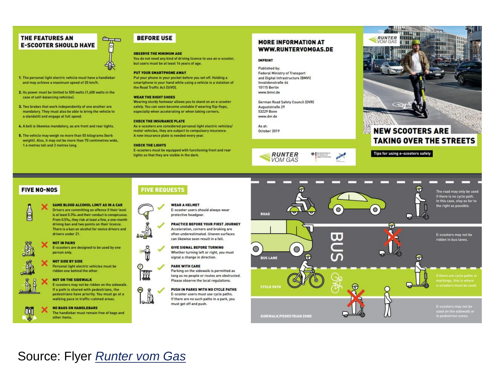#### THE FEATURES AN **E-SCOOTER SHOULD HAVE**



- 1. The personal light electric vehicle must have a handlebar and may achieve a maximum speed of 20 km/h.
- 2. Its power must be limited to 500 watts (1,400 watts in the case of self-balancing vehicles).
- 3. Two brakes that work independently of one another are mandatory. They must also be able to bring the vehicle to a standstill and engage at full speed.
- 4. A bell is likewise mandatory, as are front and rear lights.
- 5. The vehicle may weigh no more than 55 kilograms (kerb weight]. Also, it may not be more than 70 centimetres wide, 1.4 metres tall and 2 metres long.

#### **BEFORE USE**

#### **OBSERVE THE MINIMUM AGE**

You do not need any kind of driving licence to use an e-scooter, but users must be at least 14 years of age.

#### PUT YOUR SMARTPHONE AWAY

Put your phone in your pocket before you set off. Holding a smartphone in your hand while using a vehicle is a violation of the Road Traffic Act (StVO).

#### **WEAR THE RIGHT SHOES**

Wearing sturdy footwear allows you to stand on an e-scooter safely. You can soon become unstable if wearing flip-flops, especially when accelerating or when taking corners.

#### **CHECK THE INSURANCE PLATE**

As e-scooters are considered personal light electric vehicles/ motor vehicles, they are subject to compulsory insurance. A new insurance plate is needed every year.

#### **CHECK THE LIGHTS**

222

E-scooters must be equipped with functioning front and rear lights so that they are visible in the dark.

#### **MORE INFORMATION AT** WWW.RUNTERVOMGAS.DE

#### **IMPRINT**

Published by: **Federal Ministry of Transport** and Digital Infrastructure (BMVI) Invalidenstraße 44 **10115 Berlin** www.bmvi.de

German Road Safety Council (DVR) Auguststraße 29 53229 Bonn www.dvr.de

As at: October 2019





#### **NEW SCOOTERS ARE TAKING OVER THE STREETS**

#### Tips for using e-scooters safely

#### **FIVE NO-NOS**



SAME BLOOD ALCOHOL LIMIT AS IN A CAR Drivers are committing an offence if their level is at least 0.3% and their conduct is conspicuous. From 0.5%, they risk at least a fine, a one-month driving ban and two points on their licence. There is a ban on alcohol for novice drivers and drivers under 21.



#### **NOT IN PAIRS** E-scooters are designed to be used by one person only.

**NOT SIDE BY SIDE** 

#### Personal light electric vehicles must be ridden one behind the other.

#### **NOT ON THE SIDEWALK**

**NO BAGS ON HANDLEBARS** 

other items.

E-scooters may not be ridden on the sidewalk. If a path is shared with pedestrians, the pedestrians have priority. You must go at a walking pace in traffic-calmed areas.

The handlebar must remain free of bags and



E-scooter users should always wear protective headgear. **PRACTICE BEFORE YOUR FIRST JOURNEY** Acceleration, corners and braking are often underestimated. Uneven surfaces

**FIVE REQUESTS** 



**WEAR A HELMET** 

Whether turning left or right, you must signal a change in direction.

#### **PARK WITH CARE** Parking on the sidewalk is permitted as

long as no people or routes are obstructed. Please observe the local regulations.

PUSH IN PARKS WITH NO CYCLE PATHS E-scooter users must use cycle paths. If there are no such paths in a park, you must get off and push.



## Source: Flyer Runter vom Gas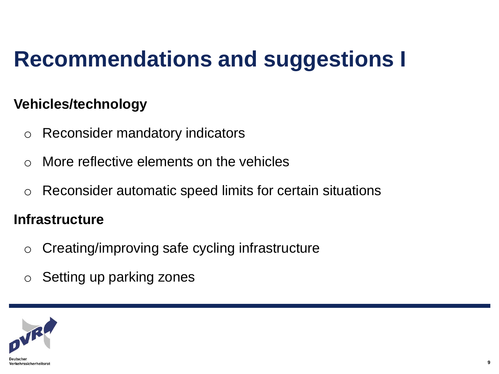# **Recommendations and suggestions I**

## **Vehicles/technology**

- o Reconsider mandatory indicators
- $\circ$  More reflective elements on the vehicles
- o Reconsider automatic speed limits for certain situations

## **Infrastructure**

- o Creating/improving safe cycling infrastructure
- o Setting up parking zones

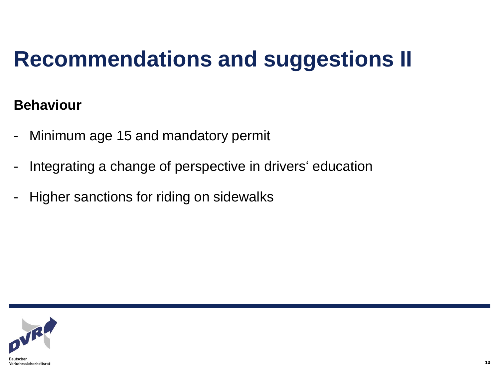# **Recommendations and suggestions II**

## **Behaviour**

- Minimum age 15 and mandatory permit
- Integrating a change of perspective in drivers' education
- Higher sanctions for riding on sidewalks

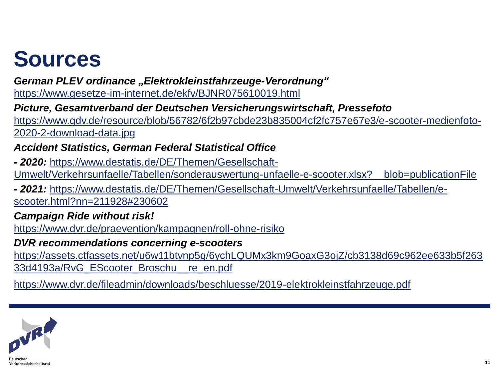# **Sources**

*German PLEV ordinance "Elektrokleinstfahrzeuge-Verordnung"* 

<https://www.gesetze-im-internet.de/ekfv/BJNR075610019.html>

*Picture, Gesamtverband der Deutschen Versicherungswirtschaft, Pressefoto* 

[https://www.gdv.de/resource/blob/56782/6f2b97cbde23b835004cf2fc757e67e3/e-scooter-medienfoto-](https://www.gdv.de/resource/blob/56782/6f2b97cbde23b835004cf2fc757e67e3/e-scooter-medienfoto-2020-2-download-data.jpg)2020-2-download-data.jpg

## *Accident Statistics, German Federal Statistical Office*

*- 2020:* https://www.destatis.de/DE/Themen/Gesellschaft-[Umwelt/Verkehrsunfaelle/Tabellen/sonderauswertung-unfaelle-e-scooter.xlsx?\\_\\_blob=publicationFile](https://www.destatis.de/DE/Themen/Gesellschaft-Umwelt/Verkehrsunfaelle/Tabellen/e-scooter.html?nn=211928#230602) 

*- 2021:* [https://www.destatis.de/DE/Themen/Gesellschaft-Umwelt/Verkehrsunfaelle/Tabellen/e](https://www.destatis.de/DE/Themen/Gesellschaft-Umwelt/Verkehrsunfaelle/Tabellen/e-scooter.html?nn=211928#230602)scooter.html?nn=211928#230602

## *Campaign Ride without risk!*

<https://www.dvr.de/praevention/kampagnen/roll-ohne-risiko>

## *DVR recommendations concerning e-scooters*

[https://assets.ctfassets.net/u6w11btvnp5g/6ychLQUMx3km9GoaxG3ojZ/cb3138d69c962ee633b5f263](https://assets.ctfassets.net/u6w11btvnp5g/6ychLQUMx3km9GoaxG3ojZ/cb3138d69c962ee633b5f26333d4193a/RvG_EScooter_Broschu__re_en.pdf) 33d4193a/RvG\_EScooter\_Broschu\_\_re\_en.pdf

<https://www.dvr.de/fileadmin/downloads/beschluesse/2019-elektrokleinstfahrzeuge.pdf>